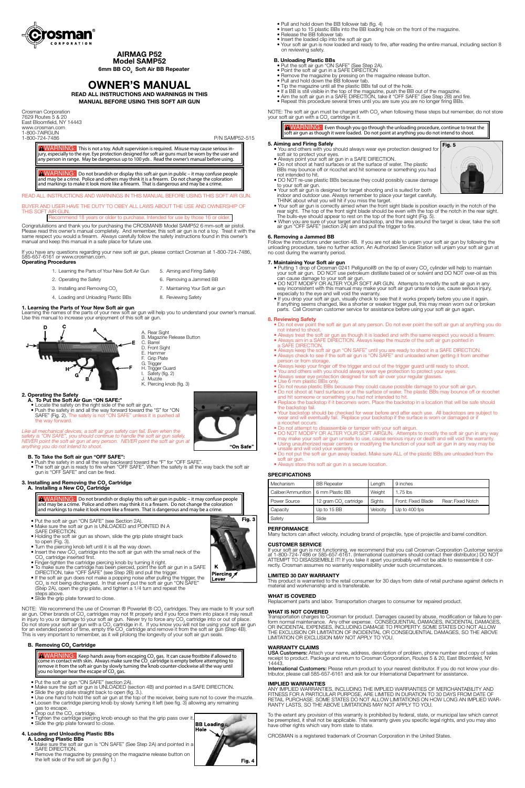

**AIRMAG P52**

**Model SAMP52 6mm BB CO2 Soft Air BB Repeater**

# **OWNER'S MANUAL**

**READ ALL INSTRUCTIONS AND WARNINGS IN THIS MANUAL BEFORE USING THIS SOFT AIR GUN**

Crosman Corporation 7629 Routes 5 & 20 East Bloomfield, NY 14443 www.crosman.com 1-800-7AIRGUN

1-800-724-7486 P/N SAMP52-515

WARNING:This is not a toy. Adult supervision is required. Misuse may cause serious in- jury, especially to the eye. Eye protection designed for soft air guns must be worn by the user and any person in range. May be dangerous up to 100 yds . Read the owner's manual before using.

WARNING:Do not brandish or display this soft air gun in public – it may confuse people and may be a crime. Police and others may think it is a firearm. Do not change the coloration and markings to make it look more like a firearm. That is dangerous and may be a crime.

READ ALL INSTRUCTIONS AND WARNINGS IN THIS MANUAL BEFORE USING THIS SOFT AIR GUN.

BUYER AND USER HAVE THE DUTY TO OBEY ALL LAWS ABOUT THE USE AND OWNERSHIP OF<br>THIS SOFT AIR GUN. THIS SOFT

Recommend 18 years or older to purchase. Intended for use by those 16 or older.

- **2. Operating the Safety**
	- Locate the safety on the right side of the soft air gun.<br>• Push the safety in and all the way forward toward the "S" for "ON SAFE" (Fig. 2). The safety is not "ON SAFE" unless it is pushed all the way forward.



Congratulations and thank you for purchasing the CROSMAN® Model SAMP52 6 mm-soft air pistol. Please read this owner's manual completely. And remember, this soft air gun is not a toy. Treat it with the same respect you would a firearm. Always carefully follow the safety instructions found in this owner's manual and keep this manual in a safe place for future use.

Like all mechanical devices, a soft air gun safety can fail. Even when the *safety is "ON SAFE", you should continue to handle the soft air gun safely. NEVER point the soft air gun at any person. NEVER point the soft air gun at anything you do not intend to shoot.*

- 
- **B. To Take the Soft air gun "OFF SAFE":**<br>• Push the safety in and all the way backward toward the "F" for "OFF SAFE".<br>• The soft air gun is ready to fire when "OFF SAFE". When the safety is all the way back the soft air g

If you have any questions regarding your new soft air gun, please contact Crosman at 1-800-724-7486, 585-657-6161 or www.crosman.com. **Operating Procedures**

#### **3. Installing and Removing the CO<sub>2</sub> Cartridge A. Installing a New CO2 Cartridge**

| 1. Learning the Parts of Your New Soft Air Gun | 5. Aiming and Firing Safely      |
|------------------------------------------------|----------------------------------|
| 2. Operating the Safety                        | 6. Removing a Jammed BB          |
| 3. Installing and Removing CO <sub>2</sub>     | 7. Maintaining Your Soft air gun |
| 4. Loading and Unloading Plastic BBs           | 8. Reviewing Safety              |

# **1. Learning the Parts of Your New Soft air gun**

Learning the names of the parts of your new soft air gun will help you to understand your owner's manual. Use this manual to increase your enjoyment of this soft air gun.

- Furn the piercing knob left until it is all the way dowr
- Insert the new  $CO<sub>2</sub>$  cartridge into the soft air gun with the small neck of the  $CO<sub>2</sub>$  cartridge inserted first.
	- Finger-tighten the cartridge piercing knob by turning it right.
- To make sure the cartridge has been pierced, point the soft air gun in a SAFE DIRECTION, take "OFF SAFE" (see Step 2B) and pull the trigger.
- If the soft air gun does not make a popping noise after pulling the trigger, the  $CO<sub>2</sub>$  is not being discharged. In that event put the soft air gun "ON SAFE" (Step 2A), open the grip plate, and tighten a 1/4 turn and repeat the steps above.



NOTE: We recommend the use of Crosman ® Powerlet ® CO2 cartridges. They are made to fit your soft air gun. Other brands of CO<sub>2</sub> cartridges may not fit properly and if you force them into place it may result in injury to you or damage to your soft air gun. Never try to force any CO<sub>2</sub> cartridge into or out of place. Do not store your soft air gun with a CO<sub>2</sub> cartridge in it. If you know you will not be using your soft air gun for an extended period of time, empty the  $\text{CO}_2$  cartridge and remove it from the soft air gun (Step 4B). This is very important to remember, as it will prolong the longevity of your soft air gun seals.

# **B. Removing CO<sub>2</sub> Cartridge**

WARNING: Keep hands away from escaping CO<sub>2</sub> gas. It can cause frostbite if allowed to come in contact with skin. Always make sure the  $\text{CO}_2$  cartridge is empty before attempting to remove it from the soft air gun by slowly turning the knob counter-clockwise all the way until you no longer hear the escape of CO $_{\textrm{\tiny{2}}}$  gas.



WARNING:Do not brandish or display this soft air gun in public – it may confuse people and may be a crime. Police and others may think it is a firearm. Do not change the coloration and markings to make it look more like a firearm. That is dangerous and may be a crime.

- Put the soft air gun "ON SAFE" (see Section 2A).
- Make sure the soft air gun is UNLOADED and POINTED IN A SAFE DIRECTION.
	- Holding the soft air gun as shown, slide the grip plate straight back to open (Fig. 3).
- You and others with you should always wear eye protection designed for soft air to protect your eyes.
- 
- Always point your soft air gun in a SAFE DIRECTION.<br>• Do not shoot at hard surfaces or at the surface of water. The plastic BBs may bounce off or ricochet and hit someone or something you had not intended to hit.
- DO NOT re-use plastic BBs because they could possibly cause damage to your soft air gun.
- Your soft air gun is designed for target shooting and is suited for both<br>indoor and outdoor use. Always remember to place your target carefully.<br>THINK about what you will hit if you miss the target.<br>• Your soft air gun i
- rear sight. The top of the front sight blade should be even with the top of the notch in the rear sight.<br>The bulls-eye should appear to rest on the top of the front sight (Fig. 5).
- When you are sure of your target and backstop, and the area around the target is clear, take the soft air gun "OFF SAFE" (section 2A) aim and pull the trigger to fire.

• Slide the grip plate forward to close.

- Putting 1 drop of Crosman 0241 Pellgunoil® on the tip of every  $CO<sub>2</sub>$  cylinder will help to maintain your soft air gun. DO NOT use petroleum distillate based oil or solvent and DO NOT over-oil as this can cause damage to your soft air gun.
- DO NOT MODIFY OR ALTER YOUR SOFT AIR GUN. Attempts to modify the soft air gun in any way inconsistent with this manual may make your soft air gun unsafe to use, cause serious injury, especially to the eye and will void the warranty.
- If you drop your soft air gun, visually check to see that it works properly before you use it again. If anything seems changed, like a shorter or weaker trigger pull, this may mean worn out or broken parts. Call Crosman customer service for assistance before using your soft air gun again.

- Put the soft air gun "ON SAFE" (section 2A).
- Make sure the soft air gun is UNLOADED (section 4B) and pointed in a SAFE DIRECTION.
	- Slide the grip plate straight back to open (fig. 3.).
- Use one hand to hold the soft air gun at the top of the receiver, being sure not to cover the muzzle.
- Loosen the cartridge piercing knob by slowly turning it left (see fig. 3) allowing any remaining gas to escape.<br>• Drop out the CO<sub>2</sub> cartridge. gas to escape.<br>• Drop out the CO<sub>2</sub> cartridge.
	-
	- Tighten the cartridge piercing knob enough so that the grip pass over it.
	- Slide the grip plate forward to close.

# **4. Loading and Unloading Plastic BBs**

# **A. Loading Plastic BBs**

If your soft air gun is not functioning, we recommend that you call Crosman Corporation Customer service at 1-800-724-7486 or 585-657-6161. (International customers should contact their distributor.) DO NOT ATTEMPT TO DISASSEMBLE IT! If you take it apart you probably will not be able to reassemble it correctly. Crosman assumes no warranty responsibility under such circumstances.

- Make sure the soft air gun is "ON SAFE" (See Step 2A) and pointed in a SAFE DIRECTION.
- Remove the magazine by pressing on the magazine release button on the left side of the soft air gun (fig 1.)



- Pull and hold down the BB follower tab (fig. 4)
	- Insert up to 15 plastic BBs into the BB loading hole on the front of the magazine.
	- Release the BB follower tab • Insert the loaded clip into the soft air gun
	- Your soft air gun is now loaded and ready to fire, after reading the entire manual, including section 8 on reviewing safety.

#### **B. Unloading Plastic BBs**

- Put the soft air gun "ON SAFE" (See Step 2A).
- Point the soft air gun in a SAFE DIRECTION
- Remove the magazine by pressing on the magazine release button.
- Pull and hold down the BB follower tab.
- Tip the magazine until all the plastic BBs fall out of the hole.
- If a BB is still visible in the top of the magazine, push the BB out of the magazine. • Aim the soft air gun in a SAFE DIRECTION, take it "OFF SAFE" (See Step 2B) and fire.
	- Repeat this procedure several times until you are sure you are no longer firing BBs.

NOTE: The soft air gun must be charged with CO<sub>2</sub> when following these steps but remember, do not store your soft air gun with a CO<sub>2</sub> cartridge in it.

WARNING:Even though you go through the unloading procedure, continue to treat the soft air gun as though it were loaded. Do not point at anything you do not intend to shoot.

#### **5. Aiming and Firing Safely**

# **6. Removing a Jammed BB**

Follow the instructions under section 4B. If you are not able to unjam your soft air gun by following the unloading procedure, take no further action. An Authorized Service Station will unjam your soft air gun at no cost during the warranty period.

#### **7. Maintaining Your Soft air gun**

#### **8. Reviewing Safety**

- Do not ever point the soft air gun at any person. Do not ever point the soft air gun at anything you do not intend to shoot.
- Always treat the soft air gun as though it is loaded and with the same respect you would a firearm.
- Always aim in a SAFE DIRECTION. Always keep the muzzle of the soft air gun pointed in a SAFE DIRECTION.
- Always keep the soft air gun "ON SAFE" until you are ready to shoot in a SAFE DIRECTION.
- Always check to see if the soft air gun is "ON SAFE" and unloaded when getting it from another person or from storage.
- Always keep your finger off the trigger and out of the trigger guard until ready to shoot.
- You and others with you should always wear eye protection to protect your eyes. • Always wear eye protection designed for soft air over your regular glasses.
- Use 6 mm plastic BBs only.
- Do not reuse plastic BBs because they could cause possible damage to your soft air gun.
- Do not shoot at hard surfaces or at the surface of water. The plastic BBs may bounce off or ricochet and hit someone or something you had not intended to hit.
- Replace the backstop if it becomes worn. Place the backstop in a location that will be safe should the backstop fail.
- Your backstop should be checked for wear before and after each use. All backstops are subject to wear and will eventually fail. Replace your backstop if the surface is worn or damaged or if a ricochet occurs.
- Do not attempt to disassemble or tamper with your soft airgun.
- DO NOT MODIFY OR ALTER YOUR SOFT AIRGUN. Attempts to modify the soft air gun in any way may make your soft air gun unsafe to use, cause serious injury or death and will void the warranty.
- Using unauthorized repair centers or modifying the function of your soft air gun in any way may be unsafe and will void your warranty.
- Do not put the soft air gun away loaded. Make sure ALL of the plastic BBs are unloaded from the soft air gun.
- Always store this soft air gun in a secure location.

## **SPECIFICATIONS**

| Mechanism                            | <b>BB</b> Repeater                | Length   | 9 inches                                |
|--------------------------------------|-----------------------------------|----------|-----------------------------------------|
| Caliber/Ammunition   6 mm Plastic BB |                                   | Weight   | $1.75$ lbs                              |
| Power Source                         | 12 gram CO <sub>2</sub> cartridge | Sights   | Front: Fixed Blade<br>Rear: Fixed Notch |
| Capacity                             | Up to 15 BB                       | Velocity | Up to 400 fps                           |
| Safety                               | Slide                             |          |                                         |

# **PERFORMANCE**

Many factors can affect velocity, including brand of projectile, type of projectile and barrel condition.

### **CUSTOMER SERVICE**







# **LIMITED 30 DAY WARRANTY**

This product is warranted to the retail consumer for 30 days from date of retail purchase against defects in material and workmanship and is transferable.

# **WHAT IS COVERED**

Replacement parts and labor. Transportation charges to consumer for repaired product.

# **WHAT IS NOT COVERED**

Transportation charges to Crosman for product. Damages caused by abuse, modification or failure to perform normal maintenance. Any other expense. CONSEQUENTIAL DAMAGES, INCIDENTAL DAMAGES, OR INCIDENTAL EXPENSES, INCLUDING DAMAGE TO PROPERTY. SOME STATES DO NOT ALLOW THE EXCLUSION OR LIMITATION OF INCIDENTAL OR CONSEQUENTIAL DAMAGES, SO THE ABOVE LIMITATION OR EXCLUSION MAY NOT APPLY TO YOU.

# **WARRANTY CLAIMS**

USA Customers: Attach your name, address, description of problem, phone number and copy of sales receipt to product. Package and return to Crosman Corporation, Routes 5 & 20, East Bloomfield, NY 14443.

International Customers: Please return product to your nearest distributor. If you do not know your distributor, please call 585-657-6161 and ask for our International Department for assistance.

# **IMPLIED WARRANTIES**

ANY IMPLIED WARRANTIES, INCLUDING THE IMPLIED WARRANTIES OF MERCHANTABILITY AND FITNESS FOR A PARTICULAR PURPOSE, ARE LIMITED IN DURATION TO 30 DAYS FROM DATE OF RETAIL PURCHASE. SOME STATES DO NOT ALLOW LIMITATIONS ON HOW LONG AN IMPLIED WAR-RANTY LASTS, SO THE ABOVE LIMITATIONS MAY NOT APPLY TO YOU.

To the extent any provision of this warranty is prohibited by federal, state, or municipal law which cannot be preempted, it shall not be applicable. This warranty gives you specific legal rights, and you may also have other rights which vary from state to state.

CROSMAN is a registered trademark of Crosman Corporation in the United States.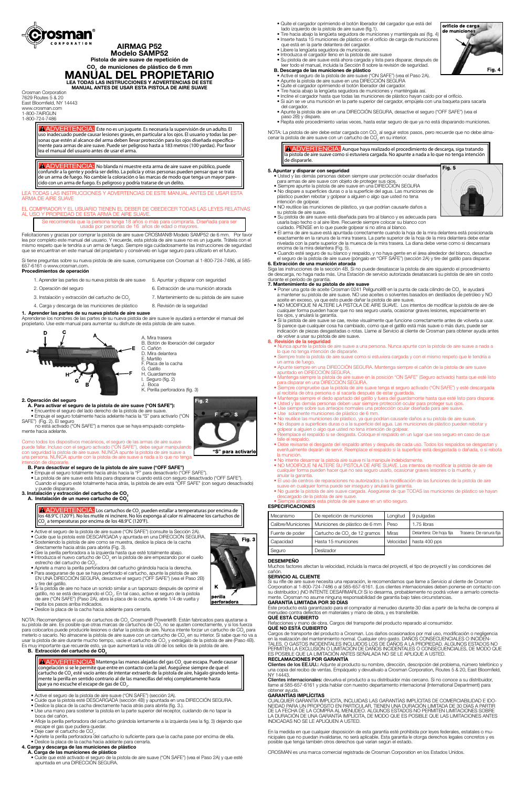

# **AIRMAG P52 Modelo SAMP52**

**Pistola de aire suave de repetición de** 

**CO2 de municiones de plástico de 6 mm MANUAL DEL PROPIETARIO LEA TODAS LAS INSTRUCCIONES Y ADVERTENCIAS DE ESTE**

**MANUAL ANTES DE USAR ESTA PISTOLA DE AIRE SUAVE**

Crosman Corporation 7629 Routes 5 & 20 East Bloomfield, NY 14443 www.crosman.com 1-800-7AIRGUN 1-800-724-7486

> **ADVERTENCIA:** Éste no es un juguete. Es necesaria la supervisión de un adulto. El uso inadecuado puede causar lesiones graves, en particular a los ojos. El usuario y todas las personas que estén al alcance del arma deben llevar protección para los ojos diseñada específicamente para armas de aire suave. Puede ser peligroso hasta a 183 metros (100 yardas). Por favor lea el manual del usuario antes de usar el arma.

> ADVERTENCIA: No blanda ni muestre esta arma de aire suave en público, puede confundir a la gente y podría ser delito. La policía y otras personas pueden pensar que se trata de un arma de fuego. No cambie la coloración o las marcas de modo que tenga un mayor parecido con un arma de fuego. Es peligroso y podría tratarse de un delito.

LEA TODAS LAS INSTRUCCIONES Y ADVERTENCIAS DE ESTE MANUAL ANTES DE USAR ESTA ARMA DE AIRE SUAVE

#### EL COMPRADOR Y EL USUARIO TIENEN EL DEBER DE OBEDECER TODAS LAS LEYES RELATIVAS AL USO Y PROPIEDAD DE ESTA ARMA DE AIRE SUAVE.

Se recomienda que la persona tenga 18 años o más para comprarla. Diseñada para ser usada por personas de 16 años de edad o mayores.

Como todos los dispositivos mecánicos, el seguro de las armas de aire suave puede fallar. Incluso con el seguro activado ("ON SAFE"), debe seguir manipulando con seguridad la pistola de aire suave. NUNCA apunte la pistola de aire suave a una persona. NUNCA apunte con la pistola de aire suave a nada a lo que no tenga intención de dispararle

Felicitaciones y gracias por comprar la pistola de aire suave CROSMAN® Modelo SAMP52 de 6 mm. Por favor lea por completo este manual del usuario. Y recuerde, esta pistola de aire suave no es un juguete. Trátela con el mismo respeto que le tendría a un arma de fuego. Siempre siga cuidadosamente las instrucciones de seguridad que se encuentran en este manual del propietario y consérvelo en lugar seguro para utilizarlo en el futuro.

Si tiene preguntas sobre su nueva pistola de aire suave, comuníquese con Crosman al 1-800-724-7486, al 585- 657-6161 o www.crosman.com. **Procedimientos de operación**

# 1. Aprender las partes de su nueva pistola de aire suave 5. Apuntar y disparar con seguridad 2. Operación del seguro 6. Extracción de una munición atorada

- 3. Instalación y extracción del cartucho de CO<sub>2</sub> 7. Mantenimiento de su pistola de aire suave
- 4. Carga y descarga de las municiones de plástico 8. Revisión de la seguridad

# **1. Aprender las partes de su nueva pistola de aire suave**

Aprenderse los nombres de las partes de su nueva pistola de aire suave le ayudará a entender el manual del propietario. Use este manual para aumentar su disfrute de esta pistola de aire suave.



#### **2. Operación del seguro**

- **A. Para activar el seguro de la pistola de aire suave ("ON SAFE"):** • Encuentre el seguro del lado derecho de la pistola de aire suave.
- Empuje el seguro totalmente hacia adelante hacia la "S" para activarlo ("ON

SAFE") (Fig. 2). El seguro no está activado ("ON SAFE") a menos que se haya empujado completamente hacia adelante.



 $Fig. 2$ 

- **B. Para desactivar el seguro de la pistola de aire suave ("OFF SAFE")**
- Empuje el seguro totalmente hacia atrás hacia la "F" para desactivarlo ("OFF SAFE"). • La pistola de aire suave está lista para dispararse cuando está con seguro desactivado ("OFF SAFE"). Cuando el seguro esté totalmente hacia atrás, la pistola de aire está "OFF SAFE" (con seguro desactivado) y puede dispararse.

# **3. Instalación y extracción del cartucho de CO2**

# **A.** Instalación de un nuevo cartucho de CO<sub>2</sub>

**ADVERTENCIA:** Los cartuchos de CO<sub>2</sub> pueden estallar a temperaturas por encima de los 48.9°C (120°F). No los mutile ni incinere. No los exponga al calor ni almacene los cartuchos de  $\mathsf{CO}_2$  a temperaturas por encima de los 48.9°C (120°F).

- Active el seguro de la pistola de aire suave ("ON SAFE") (consulte la Sección 2A).
- Cuide que la pistola esté DESCARGADA y apuntada en una DIRECCIÓN SEGURA.
- Sosteniendo la pistola de aire como se muestra, deslice la placa de la cacha

ADVERTENCIA: Aunque haya realizado el procedimiento de descarga, siga tratando la pistola de aire suave como si estuviera cargada. No apunte a nada a lo que no tenga intención de dispararle.

- directamente hacia atrás para abrirla (Fig. 3).
- Gire la perilla perforadora a la izquierda hasta que esté totalmente abajo.
- $\bullet$  Introduzca el nuevo cartucho de CO<sub>2</sub> en la pistola de aire empezando por el cuello estrecho del cartucho de  $CO<sub>2</sub>$ .
	- Apriete a mano la perilla perforadora del cartucho girándola hacia la derecha.
- Para asegurarse de que se haya perforado el cartucho, apunte la pistola de aire EN UNA DIRECCIÓN SEGURA, desactive el seguro ("OFF SAFE") (vea el Paso 2B) y tire del gatillo.
- Si la pistola de aire no hace un sonido similar a un taponazo después de oprimir el gatillo, no se está descargando el CO<sub>2</sub>. En tal caso, active el seguro de la pistola de aire ("ON SAFE") (Paso 2A), abra la placa de la cacha, apriete 1/4 de vuelta y repita los pasos arriba indicados.
	- Deslice la placa de la cacha hacia adelante para cerrarla.

NOTA: Recomendamos el uso de cartuchos de CO $_{2}$  Crosman® Powerlet®. Están fabricados para ajustarse a su pistola de aire. Es posible que otras marcas de cartuchos de CO<sub>2</sub> no se ajusten correctamente, y si los fuerza para colocarlos puede producirle lesiones o dañar la pistola de aire. Nunca intente forzar un cartucho de CO<sub>2</sub> para meterlo o sacarlo. No almacene la pistola de aire suave con un cartucho de CO2 en su interior. Si sabe que no va a usar la pistola de aire durante mucho tiempo, vacíe el cartucho de CO<sub>2</sub> y extráigalo de la pistola de aire (Paso 4B). Es muy importante que recuerde esto, ya que aumentará la vida útil de los sellos de la pistola de aire.

#### **B.** Extracción del cartucho de CO<sub>2</sub>

**ADVERTENCIA:** Mantenga las manos alejadas del gas CO<sub>2</sub> que escapa. Puede causar congelación si se le permite que entre en contacto con la piel. Asegúrese siempre de que el cartucho de CO<sub>2</sub> esté vacío antes de intentar extraerlo de la pistola de aire, hágalo girando lentamente la perilla en sentido contrario al de las manecillas del reloj completamente hasta que ya no escuche el escape de gas de CO<sub>2</sub>.

- Poner una gota de aceite Crosman 0241 Pellgunoil® en la punta de cada cilindro de CO<sub>2</sub> le ayudará a mantener su pistola de aire suave. NO use aceites o solventes basados en destilados de petróleo y NO aceite en exceso, ya que esto puede dañar la pistola de aire suave.
	- NO MODIFIQUE NI ALTERE LA PISTOLA DE AIRE SUAVE. Los intentos de modificar la pistola de aire de cualquier forma pueden hacer que no sea seguro usarla, ocasionar graves lesiones, especialmente en los ojos, y anulará la garantía.
	- Si la pistola de aire suave se cae, revise visualmente que funcione correctamente antes de volverla a usar. Si parece que cualquier cosa ha cambiado, como que el gatillo está más suave o más duro, puede ser indicación de piezas desgastadas o rotas. Llame al Servicio al cliente de Crosman para obtener ayuda antes de volver a usar su pistola de aire suave.

- Nunca apunte la pistola de aire suave a una persona. Nunca apunte con la pistola de aire suave a nada a lo que no tenga intención de dispararle.
- Siempre trate la pistola de aire suave como si estuviera cargada y con el mismo respeto que le tendría a un arma de fuego.
- Apunte siempre en una DIRECCIÓN SEGURA. Mantenga siempre el cañón de la pistola de aire suave apuntado en DIRECCIÓN SEGURA.
- Mantenga siempre la pistola de aire suave en la posición "ON SAFE" (Seguro activado) hasta que esté listo para disparar en una DIRECCIÓN SEGURA.
- Siempre compruebe que la pistola de aire suave tenga el seguro activado ("ON SAFE") y esté descargada al recibirla de otra persona o al sacarla después de estar guardada.
- Mantenga siempre el dedo apartado del gatillo y fuera del guardamonte hasta que esté listo para disparar.
- Usted y las demás personas deben usar siempre protección ocular para proteger sus ojos.
- Use siempre sobre sus anteojos normales una protección ocular diseñada para aire suave.
- Use solamente municiones de plástico de 6 mm.
- No reutilice las municiones de plástico, ya que podrían causarle daños a su pistola de aire suave.
- No dispare a superficies duras o a la superficie del agua. Las municiones de plástico pueden rebotar y golpear a alguien o algo que usted no tena intención de golpear.
- Reemplace el respaldo si se desgasta. Coloque el respaldo en un lugar que sea seguro en caso de que falle el respaldo.
- Debe revisarse el desgaste del respaldo antes y después de cada uso. Todos los respaldos se desgastan y eventualmente dejarán de servir. Reemplace el respaldo si la superficie está desgastada o dañada, o si rebota la munición.
- No intente desarmar la pistola aire suave ni la manipule indebidamente.
- NO MODIFIQUE NI ALTERE SU PISTOLA DE AIRE SUAVE. Los intentos de modificar la pistola de aire de cualquier forma pueden hacer que no sea seguro usarlo, ocasionar graves lesiones o la muerte, y anular la garantía.
- El uso de centros de reparaciones no autorizados o la modificación de las funciones de la pistola de aire suave en cualquier forma puede ser inseguro y anulará la garantía.
- No guarde la pistola de aire suave cargada. Asegúrese de que TODAS las municiones de plástico se hayan descargado de la pistola de aire suave. he esta pistola de aire suave en un sitio seguro.

- Active el seguro de la pistola de aire suave ("ON SAFE") (sección 2A).
- Cuide que la pistola esté DESCARGADA (sección 4B) y apuntada en una DIRECCIÓN SEGURA.
- Deslice la placa de la cacha directamente hacia atrás para abrirla (fig. 3.).
- Use una mano para sostener la pistola en la parte superior del receptor, cuidando de no tapar la boca del cañón.
- Afloje la perilla perforadora del cartucho girándola lentamente a la izquierda (vea la fig. 3) dejando que escape el gas que pudiera quedar.
- $\bullet$  Deje caer el cartucho de CO<sub>2</sub>.
	- Apriete la perilla perforadora del cartucho lo suficiente para que la cacha pase por encima de ella.
	- Deslice la placa de la cacha hacia adelante para cerrarla.

#### **4. Carga y descarga de las municiones de plástico**

#### **A. Carga de las municiones de plástico**

 • Cuide que esté activado el seguro de la pistola de aire suave ("ON SAFE") (vea el Paso 2A) y que esté apuntada en una DIRECCIÓN SEGURA.

Seguro Deslizador

- Quite el cargador oprimiendo el botón liberador del cargador que está del lado izquierdo de la pistola de aire suave (fig.1).
- Tire hacia abajo la lengüeta seguidora de municiones y manténgala así (fig. 4) • Inserte hasta 15 municiones de plástico en el orificio de carga de municiones que está en la parte delantera del cargador.
- Libere la lengüeta seguidora de municiones.
- Introduzca el cargador lleno en la pistola de aire suave
- Su pistola de aire suave está ahora cargada y lista para disparar, después de leer todo el manual, incluida la Sección 8 sobre la revisión de seguridad. **B. Descarga de las municiones de plástico**
- Active el seguro de la pistola de aire suave ("ON SAFE") (vea el Paso 2A).
- Apunte la pistola de aire suave en una DIRECCIÓN SEGURA
	- Quite el cargador oprimiendo el botón liberador del cargador.
	- Tire hacia abajo la lengüeta seguidora de municiones y manténgala así.
	- Incline el cargador hasta que todas las municiones de plástico hayan caído por el orificio. • Si aún se ve una munición en la parte superior del cargador, empújela con una baqueta para sacarla del cargador.
	- Apunte la pistola de aire en una DIRECCIÓN SEGURA, desactive el seguro ("OFF SAFE") (vea el paso 2B) y dispare.
	- Repita este procedimiento varias veces, hasta estar seguro de que ya no está disparando municiones.

NOTA: La pistola de aire debe estar cargada con CO<sub>2</sub> al seguir estos pasos, pero recuerde que no debe almacenar la pistola de aire suave con un cartucho de CO $_2^{'}$  en su interior.

## **5. Apuntar y disparar con seguridad**

- Usted y las demás personas deben siempre usar protección ocular diseñados para armas de aire suave con objeto de proteger sus ojos.
- Siempre apunte la pistola de aire suave en una DIRECCIÓN SEGURA
- No dispare a superficies duras o a la superficie del agua. Las municiones de plástico pueden rebotar y golpear a alguien o algo que usted no tena intención de golpear.
- NO reutilice las municiones de plástico, ya que podrían causarle daños a su pistola de aire suave.
- Su pistola de aire suave está diseñada para tiro al blanco y es adecuada para usarla bajo techo o al aire libre. Recuerde siempre colocar su blanco con
- cuidado. PIENSE en lo que puede golpear si no atina al blanco.
- El arma de aire suave está apuntada correctamente cuando la hoja de la mira delantera está posicionada exactamente en la ranura de la mira trasera. La parte superior de la hoja de la mira delantera debe estar nivelada con la parte superior de la muesca de la mira trasera. La diana debe verse como si descansara encima de la mira delantera (Fig. 5).
- Cuando esté seguro de su blanco y respaldo, y no haya gente en el área alrededor del blanco, desactive el seguro de la pistola de aire suave (póngalo en "OFF SAFE") (sección 2A) y tire del gatillo para disparar.

# **6. Extracción de una munición atorada**

Siga las instrucciones de la sección 4B. Si no puede desatascar la pistola de aire siguiendo el procedimiento de descarga, no haga nada más. Una Estación de servicio autorizada desatascará su pistola de aire sin costo durante el período de garantía.

#### **7. Mantenimiento de su pistola de aire suave**

## **8. Revisión de la seguridad**

# **ESPECIFICACIONES**

| Mecanismo          | De repetición de municiones              | Longitud     | 9 pulgadas                                         |
|--------------------|------------------------------------------|--------------|----------------------------------------------------|
| Calibre/Municiones | Municiones de plástico de 6 mm           | I Peso       | 1.75 libras                                        |
| Fuente de poder    | Cartucho de CO <sub>2</sub> de 12 gramos | <b>Miras</b> | Trasera: De ranura fija<br>Delantera: De hoja fija |
|                    |                                          |              |                                                    |
| Capacidad          | Hasta 15 municiones                      | Velocidad    | hasta 400 pps                                      |









# **DESEMPEÑO**

Muchos factores afectan la velocidad, incluida la marca del proyectil, el tipo de proyectil y las condiciones del cañón.

# **SERVICIO AL CLIENTE**

Si su rifle de aire suave necesita una reparación, le recomendamos que llame a Servicio al cliente de Crosman Corporation al 1-800-724-7486 o al 585-657-6161. (Los clientes internacionales deben ponerse en contacto con su distribuidor.) ¡NO INTENTE DESARMARLO! Si lo desarma, probablemente no podrá volver a armarlo correctamente. Crosman no asume ninguna responsabilidad de garantía bajo tales circunstancias.

#### **GARANTÍA LIMITADA POR 30 DÍAS**

Este producto está garantizado para el comprador al menudeo durante 30 días a partir de la fecha de compra al menudeo contra defectos en materiales y mano de obra, y es transferible.

### **QUÉ ESTÁ CUBIERTO**

Refacciones y mano de obra. Cargos del transporte del producto reparado al consumidor.

## **QUÉ NO ESTÁ CUBIERTO**

Cargos de transporte del producto a Crosman. Los daños ocasionados por mal uso, modificación o negligencia en la realización del mantenimiento normal. Cualquier otro gasto. DAÑOS CONSECUENCIALES O INCIDEN-TALES, O GASTOS INCIDENTALES INCLUIDOS LOS DE DAÑOS A LA PROPIEDAD. ALGUNOS ESTADOS NO PERMITEN LA EXCLUSIÓN O LIMITACIÓN DE DAÑOS INCIDENTALES O CONSECUENCIALES, DE MODO QUE ES POSIBLE QUE LA LIMITACIÓN ANTES SEÑALADA NO SE LE APLIQUE A USTED.

#### **RECLAMACIONES POR GARANTÍA**

Clientes de los EE.UU.: Adjunte al producto su nombre, dirección, descripción del problema, número telefónico y una copia del recibo de ventas. Empáquelo y devuélvalo a Crosman Corporation, Routes 5 & 20, East Bloomfield, NY 14443.

Clientes internacionales: devuelva el producto a su distribuidor más cercano. Si no conoce a su distribuidor, llame al 585-657-6161 y pida hablar con nuestro departamento internacional (International Department) para obtener ayuda.

# **GARANTÍAS IMPLÍCITAS**

CUALQUIER GARANTÍA IMPLÍCITA, INCLUIDAS LAS GARANTÍAS IMPLÍCITAS DE COMERCIABILIDAD E IDO-NEIDAD PARA UN PROPÓSITO EN PARTICULAR, TIENEN UNA DURACIÓN LIMITADA DE 30 DÍAS A PARTIR DE LA FECHA DE LA COMPRA AL MENUDEO. ALGUNOS ESTADOS NO PERMITEN LIMITACIONES SOBRE LA DURACIÓN DE UNA GARANTÍA IMPLÍCITA, DE MODO QUE ES POSIBLE QUE LAS LIMITACIONES ANTES INDICADAS NO SE LE APLIQUEN A USTED.

En la medida en que cualquier disposición de esta garantía esté prohibida por leyes federales, estatales o municipales que no puedan invalidarse, no será aplicable. Esta garantía le otorga derechos legales concretos y es posible que tenga también otros derechos que varían según el estado.

CROSMAN es una marca comercial registrada de Crosman Corporation en los Estados Unidos.